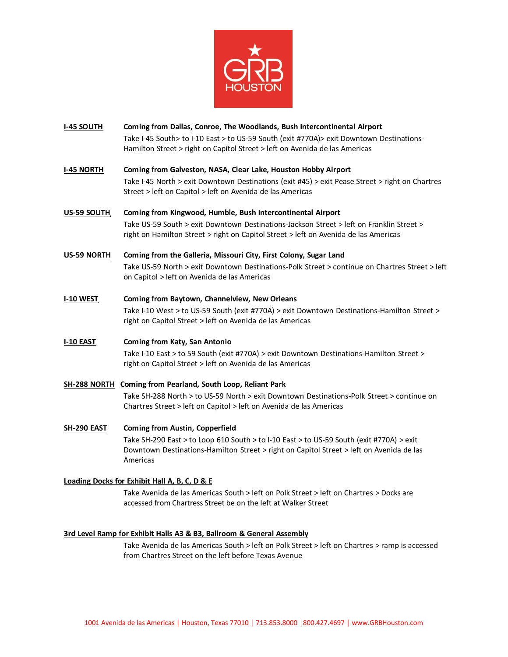

## **I-45 SOUTH Coming from Dallas, Conroe, The Woodlands, Bush Intercontinental Airport** Take I-45 South> to I-10 East > to US-59 South (exit #770A)> exit Downtown Destinations-Hamilton Street > right on Capitol Street > left on Avenida de las Americas

- **I-45 NORTH Coming from Galveston, NASA, Clear Lake, Houston Hobby Airport** Take I-45 North > exit Downtown Destinations (exit #45) > exit Pease Street > right on Chartres Street > left on Capitol > left on Avenida de las Americas
- **US-59 SOUTH Coming from Kingwood, Humble, Bush Intercontinental Airport** Take US-59 South > exit Downtown Destinations-Jackson Street > left on Franklin Street > right on Hamilton Street > right on Capitol Street > left on Avenida de las Americas
- **US-59 NORTH Coming from the Galleria, Missouri City, First Colony, Sugar Land** Take US-59 North > exit Downtown Destinations-Polk Street > continue on Chartres Street > left on Capitol > left on Avenida de las Americas
- **I-10 WEST Coming from Baytown, Channelview, New Orleans** Take I-10 West > to US-59 South (exit #770A) > exit Downtown Destinations-Hamilton Street > right on Capitol Street > left on Avenida de las Americas
- **I-10 EAST Coming from Katy, San Antonio** Take I-10 East > to 59 South (exit #770A) > exit Downtown Destinations-Hamilton Street > right on Capitol Street > left on Avenida de las Americas
- **SH-288 NORTH Coming from Pearland, South Loop, Reliant Park** Take SH-288 North > to US-59 North > exit Downtown Destinations-Polk Street > continue on Chartres Street > left on Capitol > left on Avenida de las Americas
- **SH-290 EAST Coming from Austin, Copperfield**

Take SH-290 East > to Loop 610 South > to I-10 East > to US-59 South (exit #770A) > exit Downtown Destinations-Hamilton Street > right on Capitol Street > left on Avenida de las Americas

## **Loading Docks for Exhibit Hall A, B, C, D & E**

Take Avenida de las Americas South > left on Polk Street > left on Chartres > Docks are accessed from Chartress Street be on the left at Walker Street

## **3rd Level Ramp for Exhibit Halls A3 & B3, Ballroom & General Assembly**

Take Avenida de las Americas South > left on Polk Street > left on Chartres > ramp is accessed from Chartres Street on the left before Texas Avenue